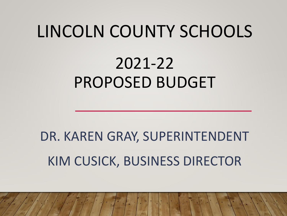# LINCOLN COUNTY SCHOOLS

## 2021-22 PROPOSED BUDGET

# DR. KAREN GRAY, SUPERINTENDENT KIM CUSICK, BUSINESS DIRECTOR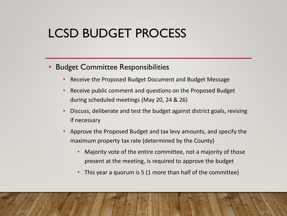#### • Budget Committee Responsibilities

- Receive the Proposed Budget Document and Budget Message
- Receive public comment and questions on the Proposed Budget during scheduled meetings (May 20, 24 & 26)
- Discuss, deliberate and test the budget against district goals, revising if necessary
- Approve the Proposed Budget and tax levy amounts, and specify the maximum property tax rate (determined by the County)
	- Majority vote of the entire committee, not a majority of those present at the meeting, is required to approve the budget
	- This year a quorum is 5 (1 more than half of the committee)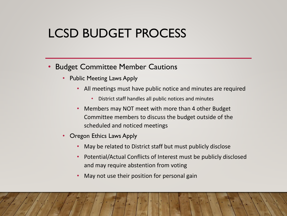#### • Budget Committee Member Cautions

- Public Meeting Laws Apply
	- All meetings must have public notice and minutes are required
		- District staff handles all public notices and minutes
	- Members may NOT meet with more than 4 other Budget Committee members to discuss the budget outside of the scheduled and noticed meetings
- Oregon Ethics Laws Apply
	- May be related to District staff but must publicly disclose
	- Potential/Actual Conflicts of Interest must be publicly disclosed and may require abstention from voting
	- May not use their position for personal gain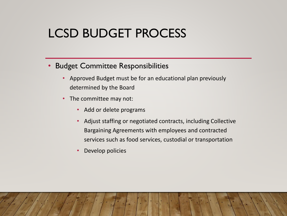#### • Budget Committee Responsibilities

- Approved Budget must be for an educational plan previously determined by the Board
- The committee may not:
	- Add or delete programs
	- Adjust staffing or negotiated contracts, including Collective Bargaining Agreements with employees and contracted services such as food services, custodial or transportation
	- Develop policies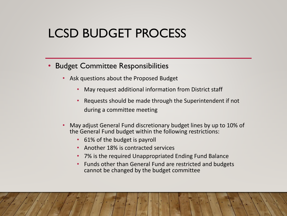#### • Budget Committee Responsibilities

- Ask questions about the Proposed Budget
	- May request additional information from District staff
	- Requests should be made through the Superintendent if not during a committee meeting
- May adjust General Fund discretionary budget lines by up to 10% of the General Fund budget within the following restrictions:
	- 61% of the budget is payroll
	- Another 18% is contracted services
	- 7% is the required Unappropriated Ending Fund Balance
	- Funds other than General Fund are restricted and budgets cannot be changed by the budget committee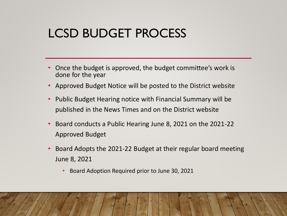- Once the budget is approved, the budget committee's work is done for the year
- Approved Budget Notice will be posted to the District website
- Public Budget Hearing notice with Financial Summary will be published in the News Times and on the District website
- Board conducts a Public Hearing June 8, 2021 on the 2021-22 Approved Budget
- Board Adopts the 2021-22 Budget at their regular board meeting June 8, 2021
	- Board Adoption Required prior to June 30, 2021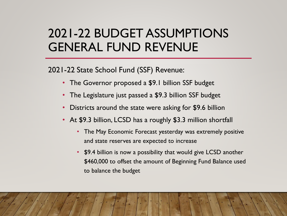2021-22 State School Fund (SSF) Revenue:

- The Governor proposed a \$9.1 billion SSF budget
- The Legislature just passed a \$9.3 billion SSF budget
- Districts around the state were asking for \$9.6 billion
- At \$9.3 billion, LCSD has a roughly \$3.3 million shortfall
	- The May Economic Forecast yesterday was extremely positive and state reserves are expected to increase
	- \$9.4 billion is now a possibility that would give LCSD another \$460,000 to offset the amount of Beginning Fund Balance used to balance the budget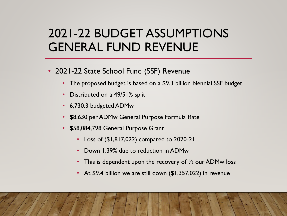- 2021-22 State School Fund (SSF) Revenue
	- The proposed budget is based on a \$9.3 billion biennial SSF budget
	- Distributed on a 49/51% split
	- 6,730.3 budgeted ADMw
	- \$8,630 per ADMw General Purpose Formula Rate
	- \$58,084,798 General Purpose Grant
		- Loss of (\$1,817,022) compared to 2020-21
		- Down 1.39% due to reduction in ADMw
		- This is dependent upon the recovery of  $\frac{1}{2}$  our ADMw loss
		- At \$9.4 billion we are still down (\$1,357,022) in revenue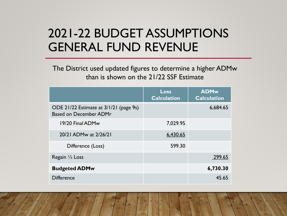The District used updated figures to determine a higher ADMw than is shown on the 21/22 SSF Estimate

|                                                                         | Loss<br><b>Calculation</b> | <b>ADMw</b><br><b>Calculation</b> |
|-------------------------------------------------------------------------|----------------------------|-----------------------------------|
| ODE 21/22 Estimate at 3/1/21 (page 9s)<br><b>Based on December ADMr</b> |                            | 6,684.65                          |
| 19/20 Final ADMw                                                        | 7,029.95                   |                                   |
| 20/21 ADMw at 2/26/21                                                   | 6,430.65                   |                                   |
| Difference (Loss)                                                       | 599.30                     |                                   |
| Regain $\frac{1}{2}$ Loss                                               |                            | 299.65                            |
| <b>Budgeted ADMw</b>                                                    |                            | 6,730.30                          |
| <b>Difference</b>                                                       |                            | 45.65                             |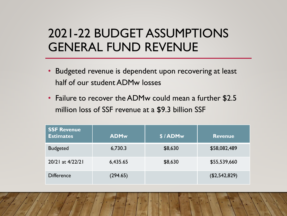- Budgeted revenue is dependent upon recovering at least half of our student ADMw losses
- Failure to recover the ADMw could mean a further \$2.5 million loss of SSF revenue at a \$9.3 billion SSF

| <b>SSF Revenue</b><br><b>Estimates</b> | <b>ADMw</b> | \$/ADMw | <b>Revenue</b> |
|----------------------------------------|-------------|---------|----------------|
| <b>Budgeted</b>                        | 6,730.3     | \$8,630 | \$58,082,489   |
| 20/21 at 4/22/21                       | 6,435.65    | \$8,630 | \$55,539,660   |
| <b>Difference</b>                      | (294.65)    |         | (\$2,542,829)  |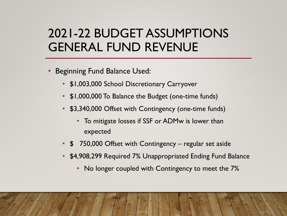- Beginning Fund Balance Used:
	- \$1,003,000 School Discretionary Carryover
	- \$1,000,000 To Balance the Budget (one-time funds)
	- \$3,340,000 Offset with Contingency (one-time funds)
		- To mitigate losses if SSF or ADMw is lower than expected
	- \$ 750,000 Offset with Contingency regular set aside
	- \$4,908,299 Required 7% Unappropriated Ending Fund Balance
		- No longer coupled with Contingency to meet the 7%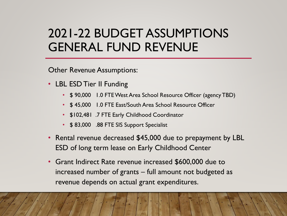Other Revenue Assumptions:

- LBL ESD Tier II Funding
	- \$ 90,000 1.0 FTE West Area School Resource Officer (agency TBD)
	- \$ 45,000 1.0 FTE East/South Area School Resource Officer
	- \$102,481 .7 FTE Early Childhood Coordinator
	- \$83,000 .88 FTE SIS Support Specialist
- Rental revenue decreased \$45,000 due to prepayment by LBL ESD of long term lease on Early Childhood Center
- Grant Indirect Rate revenue increased \$600,000 due to increased number of grants – full amount not budgeted as revenue depends on actual grant expenditures.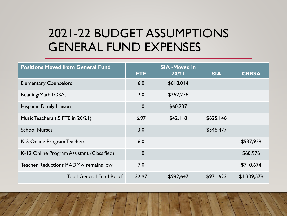| <b>Positions Moved from General Fund</b>   | <b>FTE</b> | <b>SIA -Moved in</b><br>20/21 | <b>SIA</b> | <b>CRRSA</b> |
|--------------------------------------------|------------|-------------------------------|------------|--------------|
| <b>Elementary Counselors</b>               | 6.0        | \$618,014                     |            |              |
| Reading/Math TOSAs                         | 2.0        | \$262,278                     |            |              |
| <b>Hispanic Family Liaison</b>             | 1.0        | \$60,237                      |            |              |
| Music Teachers (.5 FTE in 20/21)           | 6.97       | \$42,118                      | \$625,146  |              |
| <b>School Nurses</b>                       | 3.0        |                               | \$346,477  |              |
| K-5 Online Program Teachers                | 6.0        |                               |            | \$537,929    |
| K-12 Online Program Assistant (Classified) | 1.0        |                               |            | \$60,976     |
| Teacher Reductions if ADMw remains low     | 7.0        |                               |            | \$710,674    |
| <b>Total General Fund Relief</b>           | 32.97      | \$982,647                     | \$971,623  | \$1,309,579  |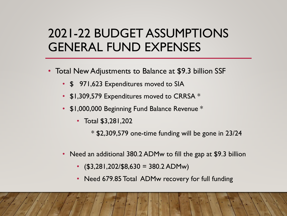- Total New Adjustments to Balance at \$9.3 billion SSF
	- \$ 971,623 Expenditures moved to SIA
	- \$1,309,579 Expenditures moved to CRRSA \*
	- \$1,000,000 Beginning Fund Balance Revenue \*
		- Total \$3,281,202

 $*$  \$2,309,579 one-time funding will be gone in 23/24

- Need an additional 380.2 ADMw to fill the gap at \$9.3 billion
	- $\cdot$  (\$3,281,202/\$8,630 = 380.2 ADMw)
	- Need 679.85 Total ADMw recovery for full funding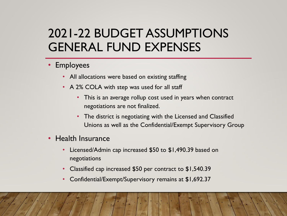- Employees
	- All allocations were based on existing staffing
	- A 2% COLA with step was used for all staff
		- This is an average rollup cost used in years when contract negotiations are not finalized.
		- The district is negotiating with the Licensed and Classified Unions as well as the Confidential/Exempt Supervisory Group
- Health Insurance
	- Licensed/Admin cap increased \$50 to \$1,490.39 based on negotiations
	- Classified cap increased \$50 per contract to \$1,540.39
	- Confidential/Exempt/Supervisory remains at \$1,692.37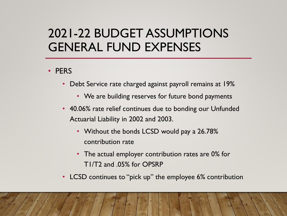#### • PERS

- Debt Service rate charged against payroll remains at 19%
	- We are building reserves for future bond payments
- 40.06% rate relief continues due to bonding our Unfunded Actuarial Liability in 2002 and 2003.
	- Without the bonds LCSD would pay a 26.78% contribution rate
	- The actual employer contribution rates are 0% for T1/T2 and .05% for OPSRP
- LCSD continues to "pick up" the employee 6% contribution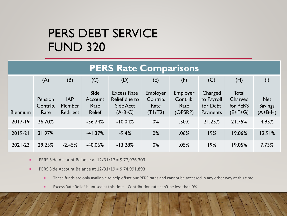#### PERS DEBT SERVICE FUND 320

#### **PERS Rate Comparisons**

|                 | (A)                         | (B)                                     | (C)                                      | (D)                                                           | (E)                                            | (F)                                            | (G)                                           | (H)                                       | (1)                                       |
|-----------------|-----------------------------|-----------------------------------------|------------------------------------------|---------------------------------------------------------------|------------------------------------------------|------------------------------------------------|-----------------------------------------------|-------------------------------------------|-------------------------------------------|
| <b>Biennium</b> | Pension<br>Contrib.<br>Rate | <b>IAP</b><br><b>Member</b><br>Redirect | Side<br>Account<br>Rate<br><b>Relief</b> | <b>Excess Rate</b><br>Relief due to<br>Side Acct<br>$(A-B-C)$ | <b>Employer</b><br>Contrib.<br>Rate<br>(T1/T2) | <b>Employer</b><br>Contrib.<br>Rate<br>(OPSRP) | Charged<br>to Payroll<br>for Debt<br>Payments | Total<br>Charged<br>for PERS<br>$(E+F+G)$ | <b>Net</b><br><b>Savings</b><br>$(A+B-H)$ |
| $2017 - 19$     | 26.70%                      |                                         | $-36.74%$                                | $-10.04%$                                                     | 0%                                             | .50%                                           | 21.25%                                        | 21.75%                                    | 4.95%                                     |
| $2019 - 21$     | 31.97%                      |                                         | $-41.37%$                                | $-9.4%$                                                       | $0\%$                                          | .06%                                           | 19%                                           | 19.06%                                    | 12.91%                                    |
| $2021 - 23$     | 29.23%                      | $-2.45%$                                | $-40.06%$                                | $-13.28%$                                                     | $0\%$                                          | .05%                                           | 19%                                           | 19.05%                                    | 7.73%                                     |

- **PERS Side Account Balance at**  $12/31/17 = $ 77,976,303$
- **PERS Side Account Balance at**  $12/31/19 = 574,991,893$ 
	- These funds are only available to help offset our PERS rates and cannot be accessed in any other way at this time
	- **EXCESS Rate Relief is unused at this time Contribution rate can't be less than 0%**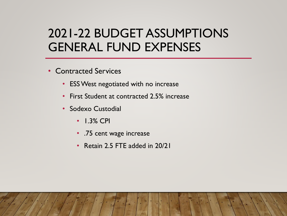- Contracted Services
	- ESS West negotiated with no increase
	- First Student at contracted 2.5% increase
	- Sodexo Custodial
		- 1.3% CPI
		- .75 cent wage increase
		- Retain 2.5 FTE added in 20/21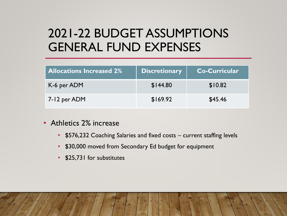| <b>Allocations Increased 2%</b> | <b>Discretionary</b> | <b>Co-Curricular</b> |
|---------------------------------|----------------------|----------------------|
| K-6 per ADM                     | \$144.80             | \$10.82              |
| 7-12 per ADM                    | \$169.92             | \$45.46              |

- Athletics 2% increase
	- \$576,232 Coaching Salaries and fixed costs current staffing levels
	- \$30,000 moved from Secondary Ed budget for equipment
	- \$25,731 for substitutes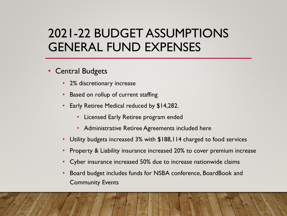- Central Budgets
	- 2% discretionary increase
	- **Based on rollup of current staffing**
	- Early Retiree Medical reduced by \$14,282.
		- Licensed Early Retiree program ended
		- Administrative Retiree Agreements included here
	- Utility budgets increased 3% with  $$188,114$  charged to food services
	- Property & Liability insurance increased 20% to cover premium increase
	- Cyber insurance increased 50% due to increase nationwide claims
	- Board budget includes funds for NSBA conference, BoardBook and Community Events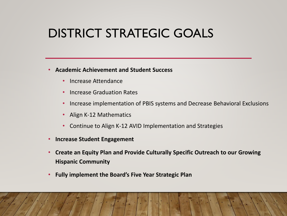## DISTRICT STRATEGIC GOALS

#### • **Academic Achievement and Student Success**

- Increase Attendance
- Increase Graduation Rates
- Increase implementation of PBIS systems and Decrease Behavioral Exclusions
- Align K-12 Mathematics
- Continue to Align K-12 AVID Implementation and Strategies
- **Increase Student Engagement**
- **Create an Equity Plan and Provide Culturally Specific Outreach to our Growing Hispanic Community**
- **Fully implement the Board's Five Year Strategic Plan**